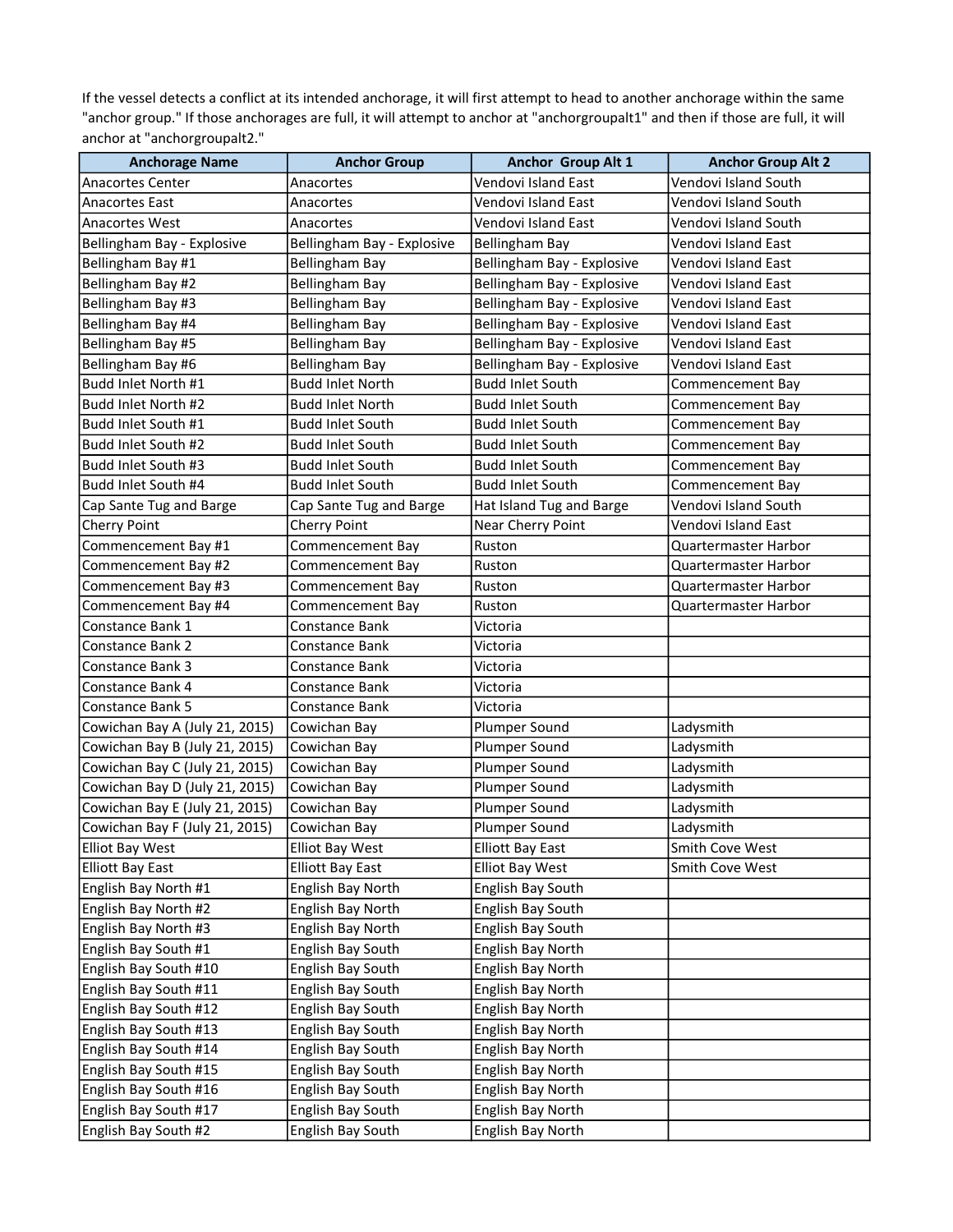If the vessel detects a conflict at its intended anchorage, it will first attempt to head to another anchorage within the same "anchor group." If those anchorages are full, it will attempt to anchor at "anchorgroupalt1" and then if those are full, it will anchor at "anchorgroupalt2."

| <b>Anchorage Name</b>          | <b>Anchor Group</b>        | Anchor Group Alt 1         | <b>Anchor Group Alt 2</b>   |
|--------------------------------|----------------------------|----------------------------|-----------------------------|
| <b>Anacortes Center</b>        | Anacortes                  | Vendovi Island East        | Vendovi Island South        |
| Anacortes East                 | Anacortes                  | Vendovi Island East        | Vendovi Island South        |
| <b>Anacortes West</b>          | Anacortes                  | Vendovi Island East        | Vendovi Island South        |
| Bellingham Bay - Explosive     | Bellingham Bay - Explosive | <b>Bellingham Bay</b>      | Vendovi Island East         |
| Bellingham Bay #1              | <b>Bellingham Bay</b>      | Bellingham Bay - Explosive | Vendovi Island East         |
| Bellingham Bay #2              | <b>Bellingham Bay</b>      | Bellingham Bay - Explosive | Vendovi Island East         |
| Bellingham Bay #3              | <b>Bellingham Bay</b>      | Bellingham Bay - Explosive | Vendovi Island East         |
| Bellingham Bay #4              | <b>Bellingham Bay</b>      | Bellingham Bay - Explosive | Vendovi Island East         |
| Bellingham Bay #5              | <b>Bellingham Bay</b>      | Bellingham Bay - Explosive | Vendovi Island East         |
| Bellingham Bay #6              | <b>Bellingham Bay</b>      | Bellingham Bay - Explosive | Vendovi Island East         |
| Budd Inlet North #1            | <b>Budd Inlet North</b>    | <b>Budd Inlet South</b>    | Commencement Bay            |
| Budd Inlet North #2            | <b>Budd Inlet North</b>    | <b>Budd Inlet South</b>    | Commencement Bay            |
| Budd Inlet South #1            | <b>Budd Inlet South</b>    | <b>Budd Inlet South</b>    | Commencement Bay            |
| Budd Inlet South #2            | <b>Budd Inlet South</b>    | <b>Budd Inlet South</b>    | Commencement Bay            |
| Budd Inlet South #3            | <b>Budd Inlet South</b>    | <b>Budd Inlet South</b>    | Commencement Bay            |
| Budd Inlet South #4            | <b>Budd Inlet South</b>    | <b>Budd Inlet South</b>    | Commencement Bay            |
| Cap Sante Tug and Barge        | Cap Sante Tug and Barge    | Hat Island Tug and Barge   | Vendovi Island South        |
| <b>Cherry Point</b>            | Cherry Point               | Near Cherry Point          | Vendovi Island East         |
| Commencement Bay #1            | Commencement Bay           | Ruston                     | Quartermaster Harbor        |
| Commencement Bay #2            | Commencement Bay           | Ruston                     | Quartermaster Harbor        |
| Commencement Bay #3            | Commencement Bay           | Ruston                     | Quartermaster Harbor        |
| Commencement Bay #4            | Commencement Bay           | Ruston                     | <b>Quartermaster Harbor</b> |
| Constance Bank 1               | Constance Bank             | Victoria                   |                             |
| Constance Bank 2               | Constance Bank             | Victoria                   |                             |
| Constance Bank 3               | Constance Bank             | Victoria                   |                             |
| Constance Bank 4               | Constance Bank             | Victoria                   |                             |
| <b>Constance Bank 5</b>        | Constance Bank             | Victoria                   |                             |
| Cowichan Bay A (July 21, 2015) | Cowichan Bay               | Plumper Sound              | Ladysmith                   |
| Cowichan Bay B (July 21, 2015) | Cowichan Bay               | Plumper Sound              | Ladysmith                   |
| Cowichan Bay C (July 21, 2015) | Cowichan Bay               | Plumper Sound              | Ladysmith                   |
| Cowichan Bay D (July 21, 2015) | Cowichan Bay               | Plumper Sound              | Ladysmith                   |
| Cowichan Bay E (July 21, 2015) | Cowichan Bay               | Plumper Sound              | Ladysmith                   |
| Cowichan Bay F (July 21, 2015) | Cowichan Bay               | Plumper Sound              | Ladysmith                   |
| Elliot Bay West                | Elliot Bay West            | Elliott Bay East           | Smith Cove West             |
| <b>Elliott Bay East</b>        | <b>Elliott Bay East</b>    | Elliot Bay West            | Smith Cove West             |
| English Bay North #1           | English Bay North          | <b>English Bay South</b>   |                             |
| English Bay North #2           | English Bay North          | <b>English Bay South</b>   |                             |
| English Bay North #3           | English Bay North          | <b>English Bay South</b>   |                             |
| English Bay South #1           | English Bay South          | <b>English Bay North</b>   |                             |
| English Bay South #10          | English Bay South          | English Bay North          |                             |
| English Bay South #11          | English Bay South          | <b>English Bay North</b>   |                             |
| English Bay South #12          | English Bay South          | English Bay North          |                             |
| English Bay South #13          | English Bay South          | English Bay North          |                             |
| English Bay South #14          | English Bay South          | English Bay North          |                             |
| English Bay South #15          | English Bay South          | English Bay North          |                             |
| English Bay South #16          | English Bay South          | English Bay North          |                             |
| English Bay South #17          | English Bay South          | English Bay North          |                             |
| English Bay South #2           | English Bay South          | English Bay North          |                             |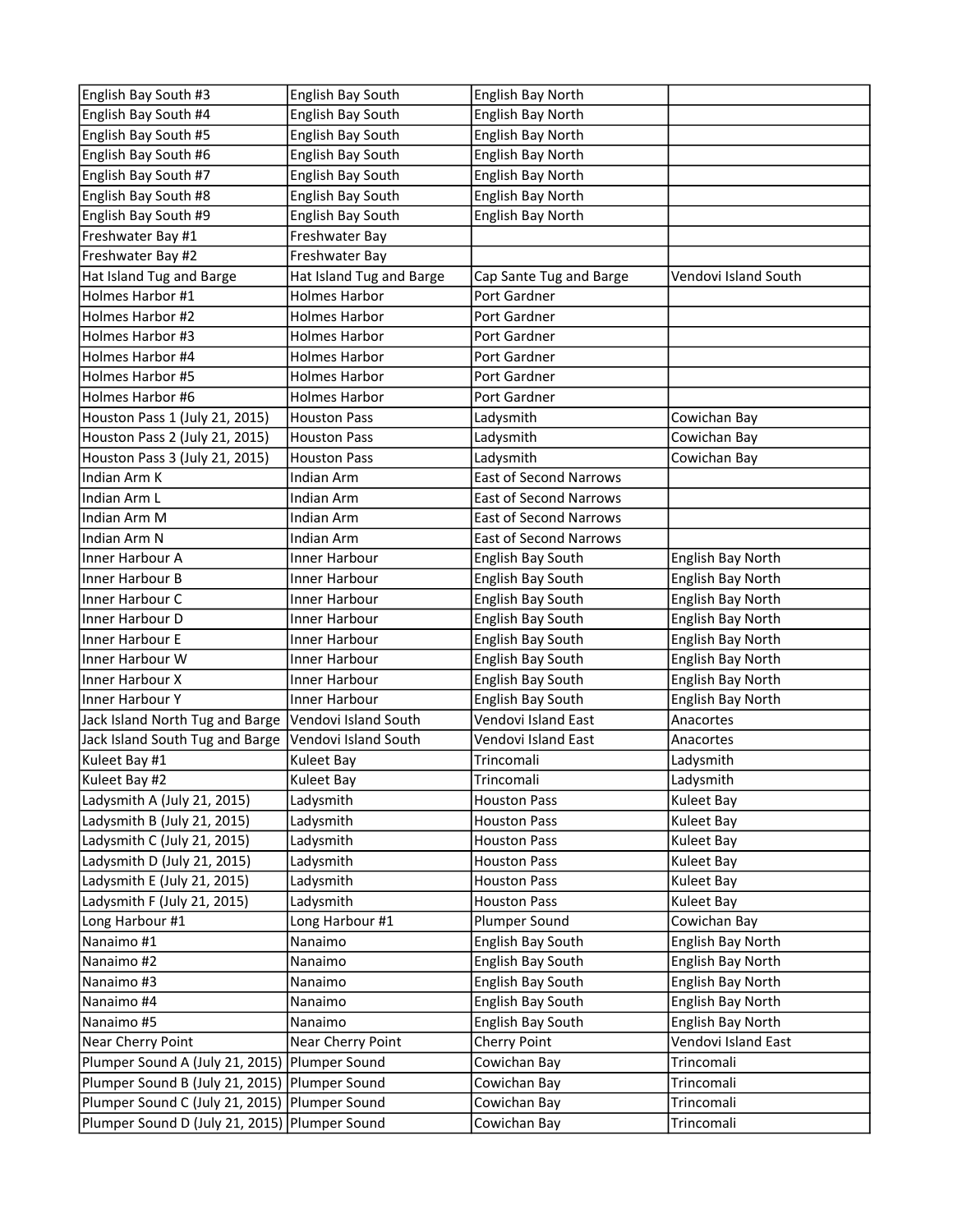| English Bay South #3                          | English Bay South        | English Bay North             |                      |
|-----------------------------------------------|--------------------------|-------------------------------|----------------------|
| English Bay South #4                          | English Bay South        | <b>English Bay North</b>      |                      |
| English Bay South #5                          | English Bay South        | English Bay North             |                      |
| English Bay South #6                          | English Bay South        | English Bay North             |                      |
| English Bay South #7                          | English Bay South        | English Bay North             |                      |
| English Bay South #8                          | English Bay South        | <b>English Bay North</b>      |                      |
| English Bay South #9                          | English Bay South        | English Bay North             |                      |
| Freshwater Bay #1                             | Freshwater Bay           |                               |                      |
| Freshwater Bay #2                             | Freshwater Bay           |                               |                      |
| Hat Island Tug and Barge                      | Hat Island Tug and Barge | Cap Sante Tug and Barge       | Vendovi Island South |
| Holmes Harbor #1                              | <b>Holmes Harbor</b>     | Port Gardner                  |                      |
| Holmes Harbor #2                              | <b>Holmes Harbor</b>     | Port Gardner                  |                      |
| Holmes Harbor #3                              | <b>Holmes Harbor</b>     | Port Gardner                  |                      |
| Holmes Harbor #4                              | <b>Holmes Harbor</b>     | Port Gardner                  |                      |
| Holmes Harbor #5                              | <b>Holmes Harbor</b>     | Port Gardner                  |                      |
| Holmes Harbor #6                              | <b>Holmes Harbor</b>     | Port Gardner                  |                      |
| Houston Pass 1 (July 21, 2015)                | <b>Houston Pass</b>      | Ladysmith                     | Cowichan Bay         |
| Houston Pass 2 (July 21, 2015)                | <b>Houston Pass</b>      | Ladysmith                     | Cowichan Bay         |
| Houston Pass 3 (July 21, 2015)                | <b>Houston Pass</b>      | Ladysmith                     | Cowichan Bay         |
| Indian Arm K                                  | Indian Arm               | <b>East of Second Narrows</b> |                      |
| Indian Arm L                                  | <b>Indian Arm</b>        | <b>East of Second Narrows</b> |                      |
| Indian Arm M                                  | <b>Indian Arm</b>        | <b>East of Second Narrows</b> |                      |
| Indian Arm N                                  | Indian Arm               | <b>East of Second Narrows</b> |                      |
| Inner Harbour A                               | Inner Harbour            | English Bay South             | English Bay North    |
| Inner Harbour B                               | Inner Harbour            | English Bay South             | English Bay North    |
| Inner Harbour C                               | Inner Harbour            | English Bay South             | English Bay North    |
| Inner Harbour D                               | Inner Harbour            | English Bay South             | English Bay North    |
| Inner Harbour E                               | Inner Harbour            | English Bay South             | English Bay North    |
| Inner Harbour W                               | Inner Harbour            | English Bay South             | English Bay North    |
| Inner Harbour X                               | Inner Harbour            | English Bay South             | English Bay North    |
| Inner Harbour Y                               | Inner Harbour            | English Bay South             | English Bay North    |
| Jack Island North Tug and Barge               | Vendovi Island South     | Vendovi Island East           | Anacortes            |
| Jack Island South Tug and Barge               | Vendovi Island South     | Vendovi Island East           | Anacortes            |
| Kuleet Bay #1                                 | Kuleet Bay               | Trincomali                    | Ladysmith            |
| Kuleet Bay #2                                 | Kuleet Bay               | Trincomali                    | Ladysmith            |
| Ladysmith A (July 21, 2015)                   | Ladysmith                | <b>Houston Pass</b>           | Kuleet Bay           |
| Ladysmith B (July 21, 2015)                   | Ladysmith                | <b>Houston Pass</b>           | Kuleet Bay           |
| Ladysmith C (July 21, 2015)                   | Ladysmith                | <b>Houston Pass</b>           | Kuleet Bay           |
| Ladysmith D (July 21, 2015)                   | Ladysmith                | <b>Houston Pass</b>           | Kuleet Bay           |
| Ladysmith E (July 21, 2015)                   | Ladysmith                | <b>Houston Pass</b>           | Kuleet Bay           |
| Ladysmith F (July 21, 2015)                   | Ladysmith                | <b>Houston Pass</b>           | Kuleet Bay           |
| Long Harbour #1                               | Long Harbour #1          | Plumper Sound                 | Cowichan Bay         |
| Nanaimo #1                                    | Nanaimo                  | English Bay South             | English Bay North    |
| Nanaimo #2                                    | Nanaimo                  | English Bay South             | English Bay North    |
| Nanaimo #3                                    | Nanaimo                  | English Bay South             | English Bay North    |
| Nanaimo #4                                    | Nanaimo                  | English Bay South             | English Bay North    |
| Nanaimo #5                                    | Nanaimo                  | English Bay South             | English Bay North    |
| Near Cherry Point                             | Near Cherry Point        | Cherry Point                  | Vendovi Island East  |
| Plumper Sound A (July 21, 2015)               | Plumper Sound            | Cowichan Bay                  | Trincomali           |
| Plumper Sound B (July 21, 2015)               | Plumper Sound            | Cowichan Bay                  | Trincomali           |
| Plumper Sound C (July 21, 2015)               | Plumper Sound            | Cowichan Bay                  | Trincomali           |
| Plumper Sound D (July 21, 2015) Plumper Sound |                          | Cowichan Bay                  | Trincomali           |
|                                               |                          |                               |                      |